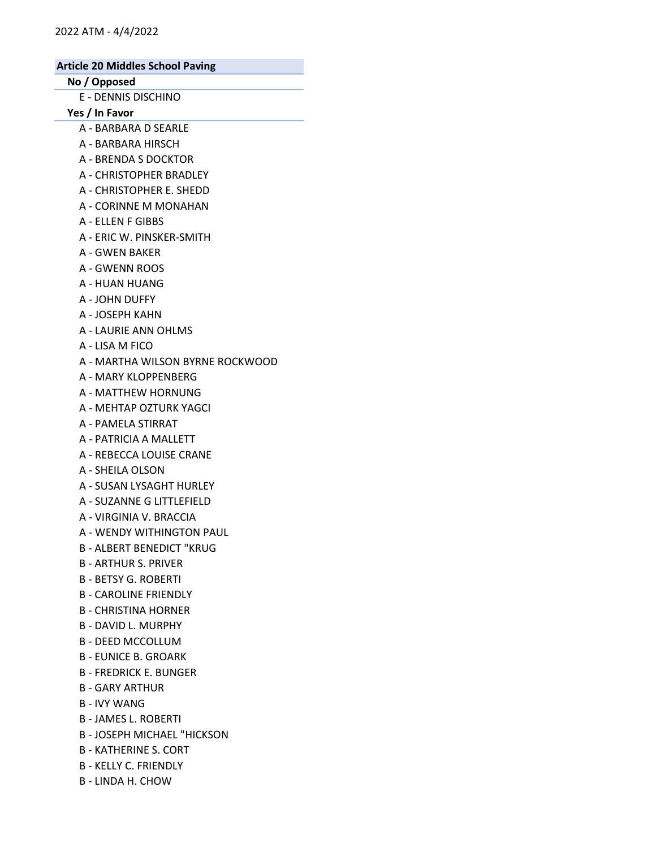# No / Opposed

E - DENNIS DISCHINO

Yes / In Favor

- A BARBARA D SEARLE
- A BARBARA HIRSCH
- A BRENDA S DOCKTOR
- A CHRISTOPHER BRADLEY
- A CHRISTOPHER E. SHEDD
- A CORINNE M MONAHAN
- A ELLEN F GIBBS
- A ERIC W. PINSKER-SMITH
- A GWEN BAKER
- A GWENN ROOS
- A HUAN HUANG
- A JOHN DUFFY
- A JOSEPH KAHN
- A LAURIE ANN OHLMS
- A LISA M FICO
- A MARTHA WILSON BYRNE ROCKWOOD
- A MARY KLOPPENBERG
- A MATTHEW HORNUNG
- A MEHTAP OZTURK YAGCI
- A PAMELA STIRRAT
- A PATRICIA A MALLETT
- A REBECCA LOUISE CRANE
- A SHEILA OLSON
- A SUSAN LYSAGHT HURLEY
- A SUZANNE G LITTLEFIELD
- A VIRGINIA V. BRACCIA
- A WENDY WITHINGTON PAUL
- B ALBERT BENEDICT "KRUG
- B ARTHUR S. PRIVER
- B BETSY G. ROBERTI
- B CAROLINE FRIENDLY
- B CHRISTINA HORNER
- B DAVID L. MURPHY
- B DEED MCCOLLUM
- B EUNICE B. GROARK
- B FREDRICK E. BUNGER
- B GARY ARTHUR
- B IVY WANG
- B JAMES L. ROBERTI
- B JOSEPH MICHAEL "HICKSON
- B KATHERINE S. CORT
- B KELLY C. FRIENDLY
- B LINDA H. CHOW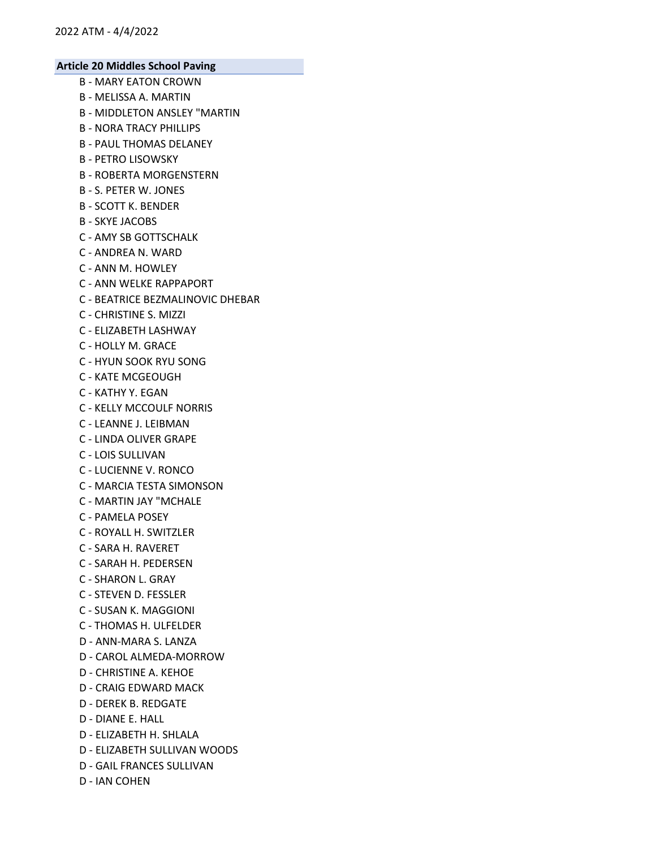- B MARY EATON CROWN
- B MELISSA A. MARTIN
- B MIDDLETON ANSLEY "MARTIN
- B NORA TRACY PHILLIPS
- B PAUL THOMAS DELANEY
- B PETRO LISOWSKY
- B ROBERTA MORGENSTERN
- B S. PETER W. JONES
- B SCOTT K. BENDER
- B SKYE JACOBS
- C AMY SB GOTTSCHALK
- C ANDREA N. WARD
- C ANN M. HOWLEY
- C ANN WELKE RAPPAPORT
- C BEATRICE BEZMALINOVIC DHEBAR
- C CHRISTINE S. MIZZI
- C ELIZABETH LASHWAY
- C HOLLY M. GRACE
- C HYUN SOOK RYU SONG
- C KATE MCGEOUGH
- C KATHY Y. EGAN
- C KELLY MCCOULF NORRIS
- C LEANNE J. LEIBMAN
- C LINDA OLIVER GRAPE
- C LOIS SULLIVAN
- C LUCIENNE V. RONCO
- C MARCIA TESTA SIMONSON
- C MARTIN JAY "MCHALE
- C PAMELA POSEY
- C ROYALL H. SWITZLER
- C SARA H. RAVERET
- C SARAH H. PEDERSEN
- C SHARON L. GRAY
- C STEVEN D. FESSLER
- C SUSAN K. MAGGIONI
- C THOMAS H. ULFELDER
- D ANN-MARA S. LANZA
- D CAROL ALMEDA-MORROW
- D CHRISTINE A. KEHOE
- D CRAIG EDWARD MACK
- D DEREK B. REDGATE
- D DIANE E. HALL
- D ELIZABETH H. SHLALA
- D ELIZABETH SULLIVAN WOODS
- D GAIL FRANCES SULLIVAN
- D IAN COHEN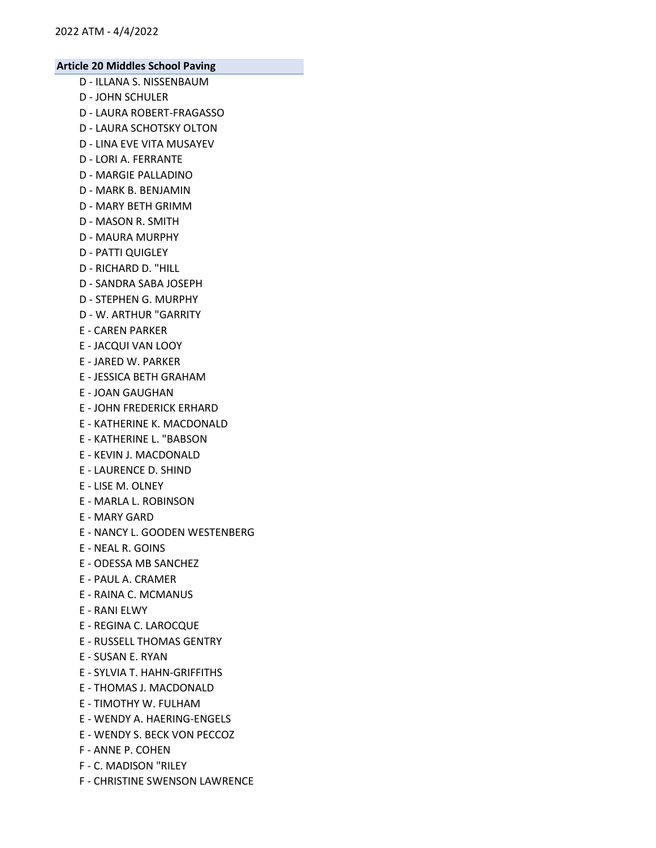- D ILLANA S. NISSENBAUM
- D JOHN SCHULER
- D LAURA ROBERT-FRAGASSO
- D LAURA SCHOTSKY OLTON
- D LINA EVE VITA MUSAYEV
- D LORI A. FERRANTE
- D MARGIE PALLADINO
- D MARK B. BENJAMIN
- D MARY BETH GRIMM
- D MASON R. SMITH
- D MAURA MURPHY
- D PATTI QUIGLEY
- D RICHARD D. "HILL
- D SANDRA SABA JOSEPH
- D STEPHEN G. MURPHY
- D W. ARTHUR "GARRITY
- E CAREN PARKER
- E JACQUI VAN LOOY
- E JARED W. PARKER
- E JESSICA BETH GRAHAM
- E JOAN GAUGHAN
- E JOHN FREDERICK ERHARD
- E KATHERINE K. MACDONALD
- E KATHERINE L. "BABSON
- E KEVIN J. MACDONALD
- E LAURENCE D. SHIND
- E LISE M. OLNEY
- E MARLA L. ROBINSON
- E MARY GARD
- E NANCY L. GOODEN WESTENBERG
- E NEAL R. GOINS
- E ODESSA MB SANCHEZ
- E PAUL A. CRAMER
- E RAINA C. MCMANUS
- E RANI ELWY
- E REGINA C. LAROCQUE
- E RUSSELL THOMAS GENTRY
- E SUSAN E. RYAN
- E SYLVIA T. HAHN-GRIFFITHS
- E THOMAS J. MACDONALD
- E TIMOTHY W. FULHAM
- E WENDY A. HAERING-ENGELS
- E WENDY S. BECK VON PECCOZ
- F ANNE P. COHEN
- F C. MADISON "RILEY
- F CHRISTINE SWENSON LAWRENCE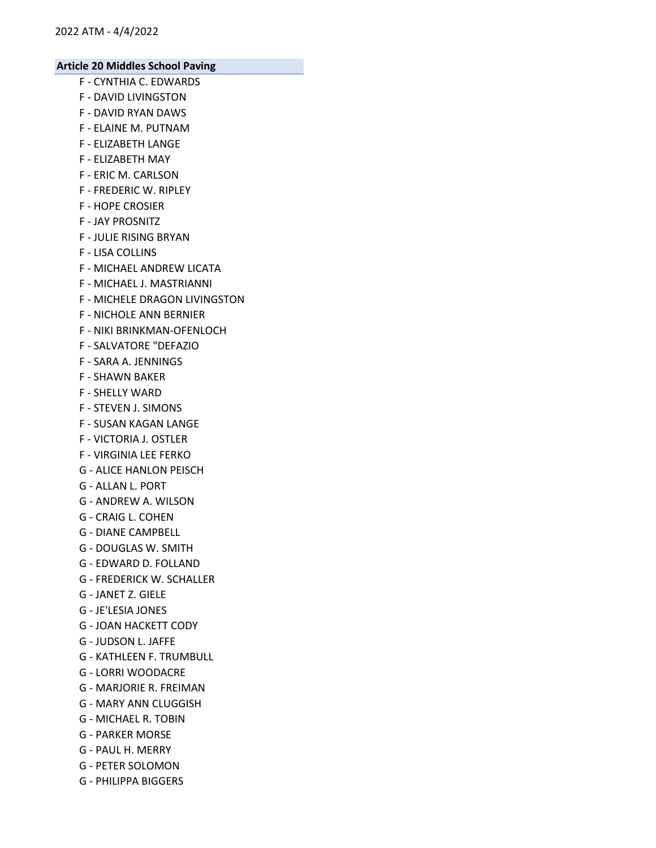- F CYNTHIA C. EDWARDS
- F DAVID LIVINGSTON
- F DAVID RYAN DAWS
- F ELAINE M. PUTNAM
- F ELIZABETH LANGE
- F ELIZABETH MAY
- F ERIC M. CARLSON
- F FREDERIC W. RIPLEY
- F HOPE CROSIER
- F JAY PROSNITZ
- F JULIE RISING BRYAN
- F LISA COLLINS
- F MICHAEL ANDREW LICATA
- F MICHAEL J. MASTRIANNI
- F MICHELE DRAGON LIVINGSTON
- F NICHOLE ANN BERNIER
- F NIKI BRINKMAN-OFENLOCH
- F SALVATORE "DEFAZIO
- F SARA A. JENNINGS
- F SHAWN BAKER
- F SHELLY WARD
- F STEVEN J. SIMONS
- F SUSAN KAGAN LANGE
- F VICTORIA J. OSTLER
- F VIRGINIA LEE FERKO
- G ALICE HANLON PEISCH
- G ALLAN L. PORT
- G ANDREW A. WILSON
- G CRAIG L. COHEN
- G DIANE CAMPBELL
- G DOUGLAS W. SMITH
- G EDWARD D. FOLLAND
- G FREDERICK W. SCHALLER
- G JANET Z. GIELE
- G JE'LESIA JONES
- G JOAN HACKETT CODY
- G JUDSON L. JAFFE
- G KATHLEEN F. TRUMBULL
- G LORRI WOODACRE
- G MARJORIE R. FREIMAN
- G MARY ANN CLUGGISH
- G MICHAEL R. TOBIN
- G PARKER MORSE
- G PAUL H. MERRY
- G PETER SOLOMON
- G PHILIPPA BIGGERS